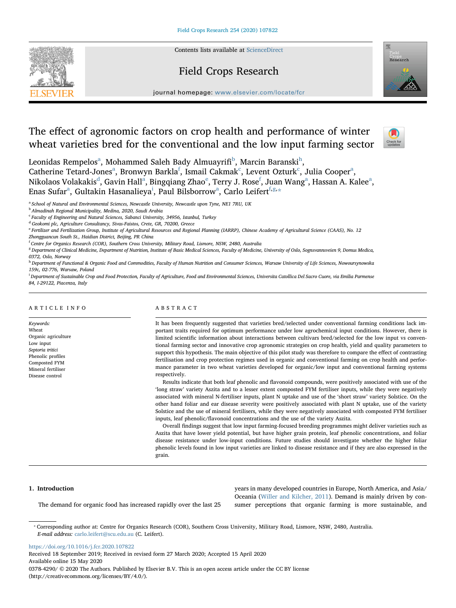Contents lists available at [ScienceDirect](http://www.sciencedirect.com/science/journal/03784290)

## Field Crops Research



journal homepage: [www.elsevier.com/locate/fcr](https://www.elsevier.com/locate/fcr)

# The effect of agronomic factors on crop health and performance of winter wheat varieties bred for the conventional and the low input farming sector

 $\frac{N}{2}$ 

Leonid[a](#page-0-0)s Rempelos $^{\rm a}$ , Mo[h](#page-0-2)ammed Saleh Bady Almuayrifi $^{\rm b}$  $^{\rm b}$  $^{\rm b}$ , Marcin Baranski $^{\rm h}$ ,

C[a](#page-0-0)therine Tetard-Jones<sup>a</sup>, Bronwyn Barkla<sup>[f](#page-0-3)</sup>, Ismail Cakmak<sup>[c](#page-0-4)</sup>, Levent Ozturk<sup>c</sup>, Julia Cooper<sup>a</sup>, Nikolaos Volakakis<sup>[d](#page-0-5)</sup>, G[a](#page-0-0)vin Hall<sup>a</sup>, Bingqiang Zhao<sup>[e](#page-0-6)</sup>, Terry J. Rose<sup>[f](#page-0-3)</sup>, Juan Wang<sup>a</sup>, Hassan A. Kalee<sup>a</sup>, En[a](#page-0-0)s Su[f](#page-0-3)ar $^{\rm a}$ , Gultak[i](#page-0-7)n Hasanalieya $^{\rm i}$ , Paul Bilsborrow $^{\rm a}$ , Carlo Leifert $^{\rm f,g,\star}$  $^{\rm f,g,\star}$  $^{\rm f,g,\star}$ 

<span id="page-0-0"></span><sup>a</sup> School of Natural and Environmental Sciences, Newcastle University, Newcastle upon Tyne, NE1 7RU, UK

<span id="page-0-1"></span><sup>b</sup> Almadinah Regional Municipality, Medina, 2020, Saudi Arabia

<span id="page-0-4"></span> $c$  Faculty of Engineering and Natural Sciences, Sabanci University, 34956, Istanbul, Turkey

<span id="page-0-5"></span><sup>d</sup> Geokomi plc, Agriculture Consultancy, Sivas-Faistos, Crete, GR, 70200, Greece

<span id="page-0-6"></span>e Fertilizer and Fertilization Group, Institute of Agricultural Resources and Regional Planning (IARRP), Chinese Academy of Agricultural Science (CAAS), No. 12

Zhongguancun South St., Haidian District, Beijing, PR China

<span id="page-0-3"></span>f Centre for Organics Research (COR), Southern Cross University, Military Road, Lismore, NSW, 2480, Australia

<span id="page-0-8"></span><sup>8</sup> Department of Clinical Medicine, Department of Nutrition, Institute of Basic Medical Sciences, Faculty of Medicine, University of Oslo, Sognsvannsveien 9, Domus Medica, 0372, Oslo, Norway

<span id="page-0-2"></span>h Department of Functional & Organic Food and Commodities, Faculty of Human Nutrition and Consumer Sciences, Warsaw University of Life Sciences, Nowoursynowska 159c, 02-776, Warsaw, Poland

<span id="page-0-7"></span>i Department of Sustainable Crop and Food Protection, Faculty of Agriculture, Food and Environmental Sciences, Universita Catollica Del Sacro Cuore, via Emilia Parmense 84, I-29122, Piacenza, Italy

#### ARTICLE INFO

Keywords: Wheat Organic agriculture Low input Septoria tritici Phenolic profiles Composted FYM Mineral fertiliser Disease control

## ABSTRACT

It has been frequently suggested that varieties bred/selected under conventional farming conditions lack important traits required for optimum performance under low agrochemical input conditions. However, there is limited scientific information about interactions between cultivars bred/selected for the low input vs conventional farming sector and innovative crop agronomic strategies on crop health, yield and quality parameters to support this hypothesis. The main objective of this pilot study was therefore to compare the effect of contrasting fertilisation and crop protection regimes used in organic and conventional farming on crop health and performance parameter in two wheat varieties developed for organic/low input and conventional farming systems respectively.

Results indicate that both leaf phenolic and flavonoid compounds, were positively associated with use of the 'long straw' variety Aszita and to a lesser extent composted FYM fertiliser inputs, while they were negatively associated with mineral N-fertiliser inputs, plant N uptake and use of the 'short straw' variety Solstice. On the other hand foliar and ear disease severity were positively associated with plant N uptake, use of the variety Solstice and the use of mineral fertilisers, while they were negatively associated with composted FYM fertiliser inputs, leaf phenolic/flavonoid concentrations and the use of the variety Aszita.

Overall findings suggest that low input farming-focused breeding programmes might deliver varieties such as Aszita that have lower yield potential, but have higher grain protein, leaf phenolic concentrations, and foliar disease resistance under low-input conditions. Future studies should investigate whether the higher foliar phenolic levels found in low input varieties are linked to disease resistance and if they are also expressed in the grain.

## 1. Introduction

The demand for organic food has increased rapidly over the last 25

years in many developed countries in Europe, North America, and Asia/ Oceania ([Willer and Kilcher, 2011\)](#page-11-0). Demand is mainly driven by consumer perceptions that organic farming is more sustainable, and

<https://doi.org/10.1016/j.fcr.2020.107822>

Received 18 September 2019; Received in revised form 27 March 2020; Accepted 15 April 2020 Available online 15 May 2020 0378-4290/ © 2020 The Authors. Published by Elsevier B.V. This is an open access article under the CC BY license (http://creativecommons.org/licenses/BY/4.0/).

<span id="page-0-9"></span><sup>⁎</sup> Corresponding author at: Centre for Organics Research (COR), Southern Cross University, Military Road, Lismore, NSW, 2480, Australia. E-mail address: [carlo.leifert@scu.edu.au](mailto:carlo.leifert@scu.edu.au) (C. Leifert).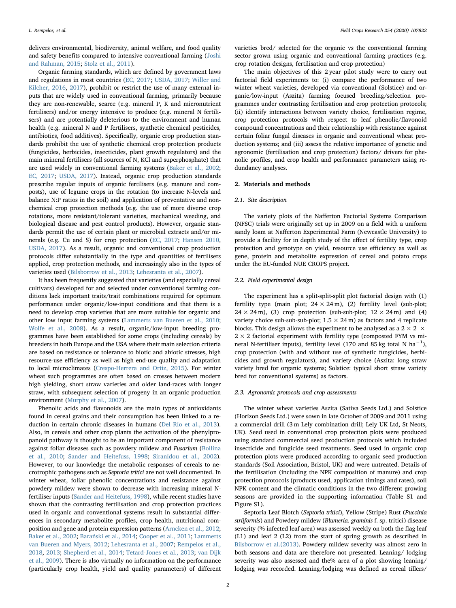delivers environmental, biodiversity, animal welfare, and food quality and safety benefits compared to intensive conventional farming [\(Joshi](#page-10-0) [and Rahman, 2015](#page-10-0); [Stolz et al., 2011\)](#page-11-1).

Organic farming standards, which are defined by government laws and regulations in most countries [\(EC, 2017;](#page-10-1) [USDA, 2017;](#page-11-2) [Willer and](#page-11-3) [Kilcher, 2016,](#page-11-3) [2017\)](#page-11-4), prohibit or restrict the use of many external inputs that are widely used in conventional farming, primarily because they are non-renewable, scarce (e.g. mineral P, K and micronutrient fertilisers) and/or energy intensive to produce (e.g. mineral N fertilisers) and are potentially deleterious to the environment and human health (e.g. mineral N and P fertilisers, synthetic chemical pesticides, antibiotics, food additives). Specifically, organic crop production standards prohibit the use of synthetic chemical crop protection products (fungicides, herbicides, insecticides, plant growth regulators) and the main mineral fertilisers (all sources of N, KCl and superphosphate) that are used widely in conventional farming systems [\(Baker et al., 2002](#page-10-2); [EC, 2017](#page-10-1); [USDA, 2017](#page-11-2)). Instead, organic crop production standards prescribe regular inputs of organic fertilisers (e.g. manure and composts), use of legume crops in the rotation (to increase N-levels and balance N:P ratios in the soil) and application of preventative and nonchemical crop protection methods (e.g. the use of more diverse crop rotations, more resistant/tolerant varieties, mechanical weeding, and biological disease and pest control products). However, organic standards permit the use of certain plant or microbial extracts and/or minerals (e.g. Cu and S) for crop protection [\(EC, 2017;](#page-10-1) [Hansen 2010](#page-10-3), [USDA, 2017\)](#page-11-2). As a result, organic and conventional crop production protocols differ substantially in the type and quantities of fertilisers applied, crop protection methods, and increasingly also in the types of varieties used ([Bilsborrow et al., 2013;](#page-10-4) [Lehesranta et al., 2007](#page-10-5)).

It has been frequently suggested that varieties (and especially cereal cultivars) developed for and selected under conventional farming conditions lack important traits/trait combinations required for optimum performance under organic/low-input conditions and that there is a need to develop crop varieties that are more suitable for organic and other low input farming systems [\(Lammerts van Bueren et al., 2010](#page-10-6); [Wolfe et al., 2008\)](#page-11-5). As a result, organic/low-input breeding programmes have been established for some crops (including cereals) by breeders in both Europe and the USA where their main selection criteria are based on resistance or tolerance to biotic and abiotic stresses, high resource-use efficiency as well as high end-use quality and adaptation to local microclimates (Crespo‑[Herrera and Ortiz, 2015](#page-10-7)). For winter wheat such programmes are often based on crosses between modern high yielding, short straw varieties and older land-races with longer straw, with subsequent selection of progeny in an organic production environment [\(Murphy et al., 2007](#page-11-6)).

Phenolic acids and flavonoids are the main types of antioxidants found in cereal grains and their consumption has been linked to a reduction in certain chronic diseases in humans [\(Del Rio et al., 2013](#page-10-8)). Also, in cereals and other crop plants the activation of the phenylpropanoid pathway is thought to be an important component of resistance against foliar diseases such as powdery mildew and Fusarium ([Bollina](#page-10-9) et [al., 2010](#page-10-9); [Sander and Heitefuss, 1998](#page-11-7); [Siranidou et al., 2002](#page-11-8)). However, to our knowledge the metabolic responses of cereals to necrotrophic pathogens such as Septoria tritici are not well documented. In winter wheat, foliar phenolic concentrations and resistance against powdery mildew were shown to decrease with increasing mineral Nfertiliser inputs [\(Sander and Heitefuss, 1998](#page-11-7)), while recent studies have shown that the contrasting fertilisation and crop protection practices used in organic and conventional systems result in substantial differences in secondary metabolite profiles, crop health, nutritional composition and gene and protein expression patterns ([Arncken et al., 2012](#page-10-10); [Baker et al., 2002](#page-10-2); Barań[ski et al., 2014](#page-10-11); [Cooper et al., 2011](#page-10-12); [Lammerts](#page-10-13) [van Bueren and Myers, 2012](#page-10-13); [Lehesranta et al., 2007;](#page-10-5) [Rempelos et al.,](#page-11-9) [2018,](#page-11-9) [2013](#page-11-10); [Shepherd et al., 2014;](#page-11-11) [Tetard-Jones et al., 2013;](#page-11-12) [van Dijk](#page-11-13) [et al., 2009\)](#page-11-13). There is also virtually no information on the performance (particularly crop health, yield and quality parameters) of different

varieties bred/ selected for the organic vs the conventional farming sector grown using organic and conventional farming practices (e.g. crop rotation designs, fertilisation and crop protection)

The main objectives of this 2 year pilot study were to carry out factorial field experiments to: (i) compare the performance of two winter wheat varieties, developed via conventional (Solstice) and organic/low-input (Aszita) farming focused breeding/selection programmes under contrasting fertilisation and crop protection protocols; (ii) identify interactions between variety choice, fertilisation regime, crop protection protocols with respect to leaf phenolic/flavonoid compound concentrations and their relationship with resistance against certain foliar fungal diseases in organic and conventional wheat production systems; and (iii) assess the relative importance of genetic and agronomic (fertilisation and crop protection) factors/ drivers for phenolic profiles, and crop health and performance parameters using redundancy analyses.

## 2. Materials and methods

#### 2.1. Site description

The variety plots of the Nafferton Factorial Systems Comparison (NFSC) trials were originally set up in 2009 on a field with a uniform sandy loam at Nafferton Experimental Farm (Newcastle University) to provide a facility for in depth study of the effect of fertility type, crop protection and genotype on yield, resource use efficiency as well as gene, protein and metabolite expression of cereal and potato crops under the EU-funded NUE CROPS project.

## 2.2. Field experimental design

The experiment has a split-split-split plot factorial design with (1) fertility type (main plot;  $24 \times 24$  m), (2) fertility level (sub-plot;  $24 \times 24$  m), (3) crop protection (sub-sub-plot;  $12 \times 24$  m) and (4) variety choice sub-sub-sub-plot;  $1.5 \times 24$  m) as factors and 4 replicate blocks. This design allows the experiment to be analysed as a 2  $\times$  2  $\times$  $2 \times 2$  factorial experiment with fertility type (composted FYM vs mineral N-fertiliser inputs), fertility level (170 and 85 kg total N ha<sup>-1</sup>), crop protection (with and without use of synthetic fungicides, herbicides and growth regulators), and variety choice (Aszita: long straw variety bred for organic systems; Solstice: typical short straw variety bred for conventional systems) as factors.

#### 2.3. Agronomic protocols and crop assessments

The winter wheat varieties Aszita (Sativa Seeds Ltd.) and Solstice (Horizon Seeds Ltd.) were sown in late October of 2009 and 2011 using a commercial drill (3 m Lely combination drill; Lely UK Ltd, St Neots, UK). Seed used in conventional crop protection plots were produced using standard commercial seed production protocols which included insecticide and fungicide seed treatments. Seed used in organic crop protection plots were produced according to organic seed production standards (Soil Association, Bristol, UK) and were untreated. Details of the fertilisation (including the NPK composition of manure) and crop protection protocols (products used, application timings and rates), soil NPK content and the climatic conditions in the two different growing seasons are provided in the supporting information (Table S1 and Figure S1).

Septoria Leaf Blotch (Septoria tritici), Yellow (Stripe) Rust (Puccinia striiformis) and Powdery mildew (Blumeria. graminis f. sp. tritici) disease severity (% infected leaf area) was assessed weekly on both the flag leaf (L1) and leaf 2 (L2) from the start of spring growth as described in [Bilsborrow et al.\(2013\)](#page-10-4). Powdery mildew severity was almost zero in both seasons and data are therefore not presented. Leaning/ lodging severity was also assessed and the% area of a plot showing leaning/ lodging was recorded. Leaning/lodging was defined as cereal tillers/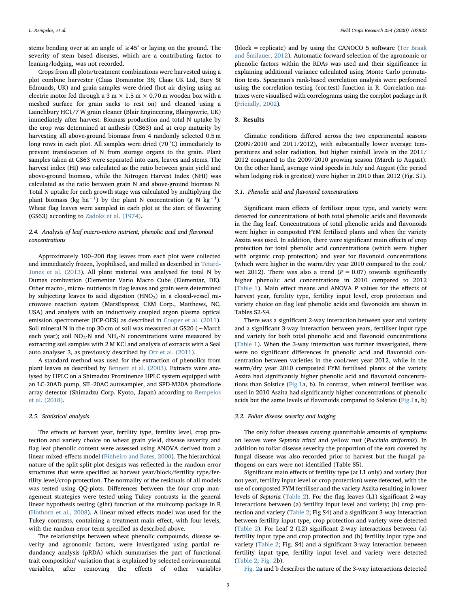stems bending over at an angle of  $\geq 45^{\circ}$  or laying on the ground. The severity of stem based diseases, which are a contributing factor to leaning/lodging, was not recorded.

Crops from all plots/treatment combinations were harvested using a plot combine harvester (Claas Dominator 38; Claas UK Ltd, Bury St Edmunds, UK) and grain samples were dried (hot air drying using an electric motor fed through a 3 m  $\times$  1.5 m  $\times$  0.70 m wooden box with a meshed surface for grain sacks to rest on) and cleaned using a Lainchbury HC1/7 W grain cleaner (Blair Engineering, Blairgowrie, UK) immediately after harvest. Biomass production and total N uptake by the crop was determined at anthesis (GS63) and at crop maturity by harvesting all above-ground biomass from 4 randomly selected 0.5 m long rows in each plot. All samples were dried (70 °C) immediately to prevent translocation of N from storage organs to the grain. Plant samples taken at GS63 were separated into ears, leaves and stems. The harvest index (HI) was calculated as the ratio between grain yield and above-ground biomass, while the Nitrogen Harvest Index (NHI) was calculated as the ratio between grain N and above-ground biomass N. Total N uptake for each growth stage was calculated by multiplying the plant biomass (kg ha $^{-1}$ ) by the plant N concentration (g N kg $^{-1}$ ). Wheat flag leaves were sampled in each plot at the start of flowering (GS63) according to [Zadoks et al. \(1974\).](#page-11-14)

## 2.4. Analysis of leaf macro-micro nutrient, phenolic acid and flavonoid concentrations

Approximately 100–200 flag leaves from each plot were collected and immediately frozen, lyophilised, and milled as described in [Tetard-](#page-11-12)[Jones et al. \(2013](#page-11-12)). All plant material was analysed for total N by Dumas combustion (Elementar Vario Macro Cube (Elementar, DE). Other macro-, micro- nutrients in flag leaves and grain were determined by subjecting leaves to acid digestion  $(HNO<sub>3</sub>)$  in a closed-vessel microwave reaction system (MarsExpress; CEM Corp., Matthews, NC, USA) and analysis with an inductively coupled argon plasma optical emission spectrometer (ICP-OES) as described in [Cooper et al. \(2011](#page-10-12)). Soil mineral N in the top 30 cm of soil was measured at GS20 (∼March each year); soil  $NO<sub>3</sub>$ -N and  $NH<sub>4</sub>$ -N concentrations were measured by extracting soil samples with 2 M KCl and analysis of extracts with a Seal auto analyser 3, as previously described by [Orr et al. \(2011\)](#page-11-15).

A standard method was used for the extraction of phenolics from plant leaves as described by [Bennett et al. \(2003\).](#page-10-14) Extracts were analysed by HPLC on a Shimadzu Prominence HPLC system equipped with an LC-20AD pump, SIL-20AC autosampler, and SPD-M20A photodiode array detector (Shimadzu Corp. Kyoto, Japan) according to [Rempelos](#page-11-9) [et al. \(2018\)](#page-11-9).

#### 2.5. Statistical analysis

The effects of harvest year, fertility type, fertility level, crop protection and variety choice on wheat grain yield, disease severity and flag leaf phenolic content were assessed using ANOVA derived from a linear mixed-effects model ([Pinheiro and Bates, 2000\)](#page-11-16). The hierarchical nature of the split-split-plot designs was reflected in the random error structures that were specified as harvest year/block/fertility type/fertility level/crop protection. The normality of the residuals of all models was tested using QQ-plots. Differences between the four crop management strategies were tested using Tukey contrasts in the general linear hypothesis testing (glht) function of the multcomp package in R ([Hothorn et al., 2008](#page-10-15)). A linear mixed effects model was used for the Tukey contrasts, containing a treatment main effect, with four levels, with the random error term specified as described above.

The relationships between wheat phenolic compounds, disease severity and agronomic factors, were investigated using partial redundancy analysis (pRDA) which summarises the part of functional trait composition' variation that is explained by selected environmental variables, after removing the effects of other variables

(block = replicate) and by using the CANOCO 5 software [\(Ter Braak](#page-11-17) and Š[milauer, 2012](#page-11-17)). Automatic forward selection of the agronomic or phenolic factors within the RDAs was used and their significance in explaining additional variance calculated using Monte Carlo permutation tests. Spearman's rank-based correlation analysis were performed using the correlation testing (cor.test) function in R. Correlation matrixes were visualised with correlograms using the corrplot package in R ([Friendly, 2002\)](#page-10-16).

## 3. Results

Climatic conditions differed across the two experimental seasons (2009/2010 and 2011/2012), with substantially lower average temperatures and solar radiation, but higher rainfall levels in the 2011/ 2012 compared to the 2009/2010 growing season (March to August). On the other hand, average wind speeds in July and August (the period when lodging risk is greatest) were higher in 2010 than 2012 (Fig. S1).

#### 3.1. Phenolic acid and flavonoid concentrations

Significant main effects of fertiliser input type, and variety were detected for concentrations of both total phenolic acids and flavonoids in the flag leaf. Concentrations of total phenolic acids and flavonoids were higher in composted FYM fertilised plants and when the variety Aszita was used. In addition, there were significant main effects of crop protection for total phenolic acid concentrations (which were higher with organic crop protection) and year for flavonoid concentrations (which were higher in the warm/dry year 2010 compared to the cool/ wet 2012). There was also a trend ( $P = 0.07$ ) towards significantly higher phenolic acid concentrations in 2010 compared to 2012 ([Table 1\)](#page-3-0). Main effect means and ANOVA P values for the effects of harvest year, fertility type, fertility input level, crop protection and variety choice on flag leaf phenolic acids and flavonoids are shown in Tables S2-S4.

There was a significant 2-way interaction between year and variety and a significant 3-way interaction between years, fertiliser input type and variety for both total phenolic acid and flavonoid concentrations ([Table 1\)](#page-3-0). When the 3-way interaction was further investigated, there were no significant differences in phenolic acid and flavonoid concentration between varieties in the cool/wet year 2012, while in the warm/dry year 2010 composted FYM fertilised plants of the variety Aszita had significantly higher phenolic acid and flavonoid concentrations than Solstice ([Fig.1](#page-3-1)a, b). In contrast, when mineral fertiliser was used in 2010 Aszita had significantly higher concentrations of phenolic acids but the same levels of flavonoids compared to Solstice ([Fig.1a](#page-3-1), b)

#### 3.2. Foliar disease severity and lodging

The only foliar diseases causing quantifiable amounts of symptoms on leaves were Septoria tritici and yellow rust (Puccinia striformis). In addition to foliar disease severity the proportion of the ears covered by fungal disease was also recorded prior to harvest but the fungal pathogens on ears were not identified (Table S5).

Significant main effects of fertility type (at L1 only) and variety (but not year, fertility input level or crop protection) were detected, with the use of composted FYM fertiliser and the variety Aszita resulting in lower levels of Septoria ([Table 2](#page-4-0)). For the flag leaves (L1) significant 2-way interactions between (a) fertility input level and variety; (b) crop protection and variety [\(Table 2](#page-4-0); Fig S4) and a significant 3-way interaction between fertility input type, crop protection and variety were detected ([Table 2\)](#page-4-0). For Leaf 2 (L2) significant 2-way interactions between (a) fertility input type and crop protection and (b) fertility input type and variety [\(Table 2](#page-4-0); Fig. S4) and a significant 3-way interaction between fertility input type, fertility input level and variety were detected ([Table 2](#page-4-0); [Fig. 2](#page-5-0)b).

[Fig. 2a](#page-5-0) and b describes the nature of the 3-way interactions detected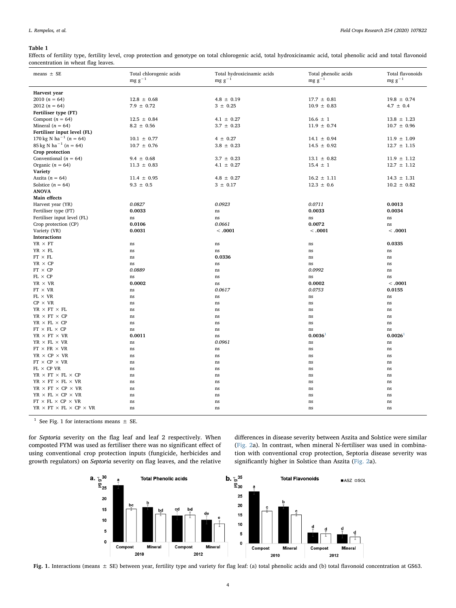#### <span id="page-3-0"></span>Table 1

Effects of fertility type, fertility level, crop protection and genotype on total chlorogenic acid, total hydroxicinamic acid, total phenolic acid and total flavonoid concentration in wheat flag leaves.

| means $\pm$ SE                                     | Total chlorogenic acids<br>$mg g^{-1}$ | Total hydroxicinamic acids<br>$mg g^{-1}$ | Total phenolic acids<br>mg $\,g^{\,-1}\,$ | Total flavonoids<br>mg $\rm g^{-1}$ |
|----------------------------------------------------|----------------------------------------|-------------------------------------------|-------------------------------------------|-------------------------------------|
| Harvest year                                       |                                        |                                           |                                           |                                     |
| 2010 $(n = 64)$                                    | $12.8 \pm 0.68$                        | $4.8 \pm 0.19$                            | $17.7 \pm 0.81$                           | $19.8 \pm 0.74$                     |
| 2012 $(n = 64)$                                    | $7.9 \pm 0.72$                         | $3 \pm 0.25$                              | $10.9 \pm 0.83$                           | $4.7 \pm 0.4$                       |
| Fertiliser type (FT)                               |                                        |                                           |                                           |                                     |
| Compost $(n = 64)$                                 | $12.5 \pm 0.84$                        | $4.1 \pm 0.27$                            | $16.6 \pm 1$                              | $13.8 \pm 1.23$                     |
| Mineral $(n = 64)$                                 | $8.2 \pm 0.56$                         | $3.7 \pm 0.23$                            | $11.9 \pm 0.74$                           | $10.7 \pm 0.96$                     |
| Fertiliser input level (FL)                        |                                        |                                           |                                           |                                     |
| 170 kg N ha <sup>-1</sup> ( $n = 64$ )             | $10.1 \pm 0.77$                        | $4 \pm 0.27$                              | $14.1 \pm 0.94$                           | $11.9 \pm 1.09$                     |
| 85 kg N ha <sup>-1</sup> (n = 64)                  | $10.7 \pm 0.76$                        | $3.8 \pm 0.23$                            | $14.5 \pm 0.92$                           | $12.7 \pm 1.15$                     |
| Crop protection                                    |                                        |                                           |                                           |                                     |
| Conventional ( $n = 64$ )                          | $9.4 \pm 0.68$                         | $3.7 \pm 0.23$                            | $13.1 \pm 0.82$                           | $11.9 \pm 1.12$                     |
| Organic ( $n = 64$ )                               | $11.3 \pm 0.83$                        | $4.1 \pm 0.27$                            | $15.4 \pm 1$                              | $12.7 \pm 1.12$                     |
| Variety                                            |                                        |                                           |                                           |                                     |
| Aszita ( $n = 64$ )                                | $11.4 \pm 0.95$                        | $4.8 \pm 0.27$                            | $16.2 \pm 1.11$                           | $14.3 \pm 1.31$                     |
| Solstice $(n = 64)$                                | $9.3 \pm 0.5$                          | $3 \pm 0.17$                              | $12.3 \pm 0.6$                            | $10.2 \pm 0.82$                     |
| <b>ANOVA</b>                                       |                                        |                                           |                                           |                                     |
| Main effects                                       |                                        |                                           |                                           |                                     |
| Harvest year (YR)                                  | 0.0827                                 | 0.0923                                    | 0.0711                                    | 0.0013                              |
| Fertiliser type (FT)                               | 0.0033                                 | ns                                        | 0.0033                                    | 0.0034                              |
| Fertiliser input level (FL)                        | ns                                     | ns                                        | ns                                        | ns                                  |
| Crop protection (CP)                               | 0.0106                                 | 0.0661                                    | 0.0072                                    | ns                                  |
| Variety (VR)                                       | 0.0031                                 | < .0001                                   | < .0001                                   | < .0001                             |
| <b>Interactions</b>                                |                                        |                                           |                                           |                                     |
| $YR \times FT$                                     | ns                                     | ns                                        | ns                                        | 0.0335                              |
| $YR \times FL$                                     | ns                                     | ns                                        | ns                                        | ns                                  |
| $FT$ $\times$ $FL$                                 | ns                                     | 0.0336                                    | ns                                        | ns                                  |
| $YR \times CP$                                     | ns                                     | ns                                        | ns                                        | ns                                  |
| $FT \times CP$                                     | 0.0889                                 | ns                                        | 0.0992                                    | ns                                  |
| $FL \times CP$                                     | ns                                     | $\rm ns$                                  | ns                                        | ns                                  |
| $YR \times VR$                                     | 0.0002                                 | ns                                        | 0.0002                                    | < .0001                             |
| $FT \times VR$                                     | ns                                     | 0.0617                                    | 0.0753                                    | 0.0155                              |
| $FL \times VR$                                     | ns                                     | ns                                        | ns                                        | ns                                  |
| $CP \times VR$                                     | ns                                     | ns                                        | ns                                        | ns                                  |
| $YR \times FT \times FL$                           | ns                                     | ns                                        | ns                                        | ns                                  |
| $YR \times FT \times CP$                           | ns                                     | ns                                        | ns                                        | ns                                  |
| $YR \times FL \times CP$                           | ns                                     | ns                                        | ns                                        | ns                                  |
| $FT \times FL \times CP$                           | ns                                     | ns                                        | ns                                        | $\rm ns$                            |
| $YR \times FT \times VR$                           | 0.0011                                 | $\mathbf{n}\mathbf{s}$                    | 0.0036 <sup>1</sup>                       | 0.0026 <sup>1</sup>                 |
| $YR \times FL \times VR$                           | ns                                     | 0.0961                                    | ns                                        | ns                                  |
| $FT \times FR \times VR$                           | ns                                     | ns                                        | ns                                        | ns                                  |
| $YR \times CP \times VR$                           | ns                                     | ns                                        | ns                                        | ns                                  |
| $FT \times CP \times VR$                           | ns                                     | ns                                        | ns                                        | ns                                  |
| $FL \times CP VR$                                  | ns                                     | ns                                        | ns                                        | ns                                  |
| $YR \times FT \times FL \times CP$                 | ns                                     | ns                                        | ns                                        | ns                                  |
| $YR \times FT \times FL \times VR$                 | ns                                     | ns                                        | ns                                        | ns                                  |
| $YR \times FT \times CP \times VR$                 | ns                                     | ns                                        | ns                                        | ns                                  |
| YR $\times$ FL $\times$ CP $\times$ VR             | ns                                     | ns                                        | ns                                        | ns                                  |
| $FT \times FL \times CP \times VR$                 | ns                                     | ns                                        | ns                                        | ns                                  |
| YR $\times$ FT $\times$ FL $\times$ CP $\times$ VR | ns                                     | ns                                        | ns                                        | ns                                  |

<span id="page-3-2"></span><sup>1</sup> See Fig. 1 for interactions means  $\pm$  SE.

<span id="page-3-1"></span>for Septoria severity on the flag leaf and leaf 2 respectively. When composted FYM was used as fertiliser there was no significant effect of using conventional crop protection inputs (fungicide, herbicides and growth regulators) on Septoria severity on flag leaves, and the relative differences in disease severity between Aszita and Solstice were similar ([Fig. 2](#page-5-0)a). In contrast, when mineral N-fertiliser was used in combination with conventional crop protection, Septoria disease severity was significantly higher in Solstice than Aszita ([Fig. 2a](#page-5-0)).



Fig. 1. Interactions (means ± SE) between year, fertility type and variety for flag leaf: (a) total phenolic acids and (b) total flavonoid concentration at GS63.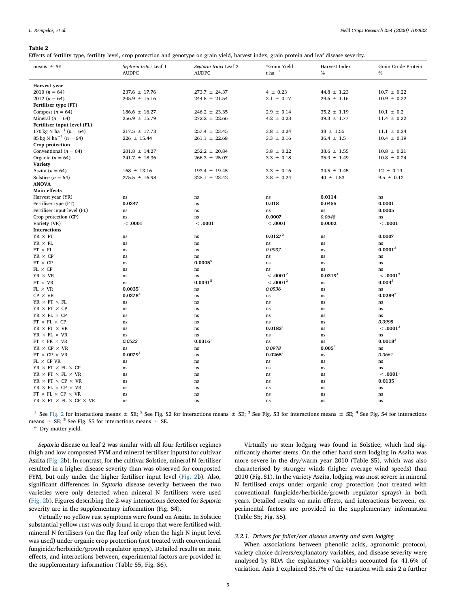#### <span id="page-4-0"></span>Table 2

Effects of fertility type, fertility level, crop protection and genotype on grain yield, harvest index, grain protein and leaf disease severity.

| means $\pm$ SE                                     | Septoria tritici Leaf 1<br><b>AUDPC</b> | Septoria tritici Leaf 2<br><b>AUDPC</b> | *Grain Yield<br>t ha $^{-1}$ | Harvest Index<br>$\frac{0}{0}$ | Grain Crude Protein<br>$\%$ |
|----------------------------------------------------|-----------------------------------------|-----------------------------------------|------------------------------|--------------------------------|-----------------------------|
| Harvest year                                       |                                         |                                         |                              |                                |                             |
| 2010 $(n = 64)$                                    | $237.6 \pm 17.76$                       | $273.7 \pm 24.37$                       | $4 \pm 0.23$                 | 44.8 $\pm$ 1.23                | $10.7 \pm 0.22$             |
| 2012 $(n = 64)$                                    | $205.9 \pm 15.16$                       | $244.8 \pm 21.54$                       | $3.1 \pm 0.17$               | $29.6 \pm 1.16$                | $10.9 \pm 0.22$             |
| Fertiliser type (FT)                               |                                         |                                         |                              |                                |                             |
| Compost $(n = 64)$                                 | $186.6 \pm 16.27$                       | $246.2 \pm 23.35$                       | $2.9 \pm 0.14$               | $35.2 \pm 1.19$                | $10.1 \pm 0.2$              |
| Mineral $(n = 64)$                                 | $256.9 \pm 15.79$                       | $272.2 \pm 22.66$                       | $4.2 \pm 0.23$               | $39.3 \pm 1.77$                | $11.4 \pm 0.22$             |
| Fertiliser input level (FL)                        |                                         |                                         |                              |                                |                             |
| 170 kg N ha <sup>-1</sup> (n = 64)                 | $217.5 \pm 17.73$                       | $257.4 \pm 23.45$                       | $3.8 \pm 0.24$               | $38 \pm 1.55$                  | $11.1 \pm 0.24$             |
| 85 kg N ha <sup>-1</sup> (n = 64)                  | $226 \pm 15.44$                         | $261.1 \pm 22.68$                       | $3.3 \pm 0.16$               | $36.4 \pm 1.5$                 | $10.4 \pm 0.19$             |
| Crop protection                                    |                                         |                                         |                              |                                |                             |
| Conventional ( $n = 64$ )                          | $201.8 \pm 14.27$                       | $252.2 \pm 20.84$                       | $3.8 \pm 0.22$               | $38.6 \pm 1.55$                | $10.8 \pm 0.21$             |
| Organic ( $n = 64$ )                               | $241.7 \pm 18.36$                       | $266.3 \pm 25.07$                       | $3.3 \pm 0.18$               | $35.9 \pm 1.49$                | $10.8 \pm 0.24$             |
| Variety                                            |                                         |                                         |                              |                                |                             |
| Aszita ( $n = 64$ )                                | $168 \pm 13.16$                         | $193.4 \pm 19.45$                       | $3.3 \pm 0.16$               | $34.5 \pm 1.45$                | $12 \pm 0.19$               |
| Solstice $(n = 64)$                                | $275.5 \pm 16.98$                       | $325.1 \pm 23.42$                       | $3.8 \pm 0.24$               | $40 \pm 1.53$                  | $9.5 \pm 0.12$              |
| <b>ANOVA</b>                                       |                                         |                                         |                              |                                |                             |
| <b>Main effects</b>                                |                                         |                                         |                              |                                |                             |
| Harvest year (YR)                                  | ns                                      | ns                                      | ns                           | 0.0114                         | ns                          |
| Fertiliser type (FT)                               | 0.0347                                  | ns                                      | 0.018                        | 0.0455                         | 0.0001                      |
| Fertiliser input level (FL)                        | $\rm ns$                                | ns                                      | ns                           | ns                             | 0.0005                      |
| Crop protection (CP)                               | ns                                      | $\rm ns$                                | 0.0007                       | 0.0648                         | ns                          |
| Variety (VR)                                       | < .0001                                 | < .0001                                 | < .0001                      | 0.0002                         | $<$ .0001 $\,$              |
| <b>Interactions</b>                                |                                         |                                         |                              |                                |                             |
| $YR \times FT$                                     | ns                                      | ns                                      | $0.0127^2$                   | ns                             | 0.0007                      |
| $YR \times FL$                                     | ns                                      | ns                                      | ns                           | ns                             | ns                          |
| $FT \times FL$                                     | ns                                      | ns                                      | 0.0937                       | ns                             | 0.0001 <sup>3</sup>         |
| $YR \times CP$                                     | $\rm ns$                                | ns                                      | ns                           | ns                             | ns                          |
| $FT \times CP$                                     | ns                                      | $0.0005^5$                              | ns                           | ns                             | ns                          |
| $FL \times CP$                                     | ns                                      | ns                                      | ns                           | ns                             | ns                          |
| $YR \times VR$                                     | ns                                      | ns                                      | < 0.001 <sup>2</sup>         | 0.0319 <sup>1</sup>            | < .0001 <sup>3</sup>        |
| $FT \times VR$                                     | ns                                      | $0.0041^5$                              | < .0001 <sup>2</sup>         | ns                             | $0.004^3$                   |
| $FL \times VR$                                     | $0.0035^{4}$                            | ns                                      | 0.0536                       | ns                             | ns                          |
| $CP \times VR$                                     | 0.0378 <sup>4</sup>                     | ns                                      | ns                           | ns                             | $0.0289^{3}$                |
| $YR \times FT \times FL$                           | ns                                      | ns                                      | ns                           | ns                             | ns                          |
| $YR \times FT \times CP$                           | ns                                      | ns                                      | ns                           | ns                             | ns                          |
| $YR \times FL \times CP$                           | ns                                      | ns                                      | ns                           | ns                             | ns                          |
| $FT \times FL \times CP$                           | ns                                      | ns                                      | ns                           | ns                             | 0.0998                      |
| $YR \times FT \times VR$                           | ns                                      | ns                                      | 0.0183 <sup>1</sup>          | ns                             | < .0001 <sup>3</sup>        |
| $YR \times FL \times VR$                           | ns                                      | ns                                      | ns                           | ns                             | ns                          |
| $FT \times FR \times VR$                           | 0.0522                                  | 0.0316 <sup>1</sup>                     | ns                           | ns                             | $0.0018^3$                  |
| $YR \times CP \times VR$                           | ns                                      | ns                                      | 0.0978                       | 0.005                          | ns                          |
| $FT \times CP \times VR$                           | 0.0079 <sup>1</sup>                     | $\rm ns$                                | 0.0265                       | ns                             | 0.0661                      |
| $FL \times CP VR$                                  | ns                                      | ns                                      | ns                           | ns                             | ns                          |
| $YR \times FT \times FL \times CP$                 | ns                                      | ns                                      | ns                           | ns                             | ns                          |
| YR $\times$ FT $\times$ FL $\times$ VR             | ns                                      | ns                                      | ns                           | ns                             | < .0001 <sup>1</sup>        |
| YR $\times$ FT $\times$ CP $\times$ VR             | ns                                      | ns                                      | ns                           | ns                             | 0.0135 <sup>1</sup>         |
| YR $\times$ FL $\times$ CP $\times$ VR             | ns                                      | ns                                      | ns                           | ns                             | ns                          |
| $FT \times FL \times CP \times VR$                 | ns                                      | ns                                      | ns                           | ns                             | ns                          |
| YR $\times$ FT $\times$ FL $\times$ CP $\times$ VR | ns                                      | ns                                      | ns                           | ns                             | ns                          |
|                                                    |                                         |                                         |                              |                                |                             |

<span id="page-4-2"></span><sup>1</sup> See [Fig. 2](#page-5-0) for interactions means  $\pm$  SE; <sup>2</sup> See Fig. S2 for interactions means  $\pm$  SE; <sup>3</sup> See Fig. S3 for interactions means  $\pm$  SE; <sup>4</sup> See Fig. S4 for interactions means  $\pm$  SE; <sup>5</sup> See Fig. S5 for interactions means  $\pm$  SE.

<span id="page-4-1"></span>\* Dry matter yield.

Septoria disease on leaf 2 was similar with all four fertiliser regimes (high and low composted FYM and mineral fertiliser inputs) for cultivar Aszita ([Fig. 2](#page-5-0)b). In contrast, for the cultivar Solstice, mineral N-fertiliser resulted in a higher disease severity than was observed for composted FYM, but only under the higher fertiliser input level [\(Fig. 2](#page-5-0)b). Also, significant differences in Septoria disease severity between the two varieties were only detected when mineral N fertilisers were used ([Fig. 2](#page-5-0)b). Figures describing the 2-way interactions detected for Septoria severity are in the supplementary information (Fig. S4).

Virtually no yellow rust symptoms were found on Aszita. In Solstice substantial yellow rust was only found in crops that were fertilised with mineral N fertilisers (on the flag leaf only when the high N input level was used) under organic crop protection (not treated with conventional fungicide/herbicide/growth regulator sprays). Detailed results on main effects, and interactions between, experimental factors are provided in the supplementary information (Table S5; Fig. S6).

Virtually no stem lodging was found in Solstice, which had significantly shorter stems. On the other hand stem lodging in Aszita was more severe in the dry/warm year 2010 (Table S5), which was also characterised by stronger winds (higher average wind speeds) than 2010 (Fig. S1). In the variety Aszita, lodging was most severe in mineral N fertilised crops under organic crop protection (not treated with conventional fungicide/herbicide/growth regulator sprays) in both years. Detailed results on main effects, and interactions between, experimental factors are provided in the supplementary information (Table S5; Fig. S5).

#### 3.2.1. Drivers for foliar/ear disease severity and stem lodging

When associations between phenolic acids, agronomic protocol, variety choice drivers/explanatory variables, and disease severity were analysed by RDA the explanatory variables accounted for 41.6% of variation. Axis 1 explained 35.7% of the variation with axis 2 a further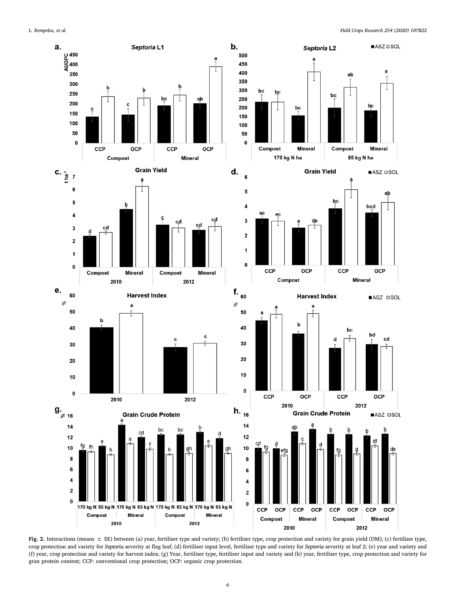<span id="page-5-0"></span>

Fig. 2. Interactions (means  $\pm$  SE) between (a) year, fertiliser type and variety; (b) fertiliser type, crop protection and variety for grain yield (DM); (c) fertiliser type, crop protection and variety for Septoria severity at flag leaf; (d) fertiliser input level, fertiliser type and variety for Septoria severity at leaf 2; (e) year and variety and (f) year, crop protection and variety for harvest index; (g) Year, fertiliser type, fertiliser input and variety and (h) year, fertiliser type, crop protection and variety for gran protein content; CCP: conventional crop protection; OCP: organic crop protection.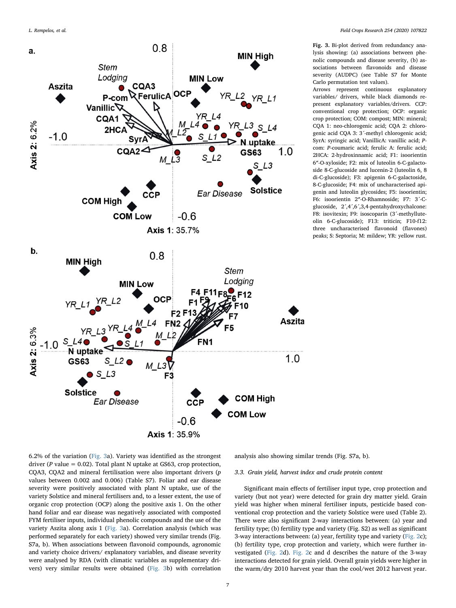<span id="page-6-0"></span>

Fig. 3. Bi-plot derived from redundancy analysis showing: (a) associations between phenolic compounds and disease severity, (b) associations between flavonoids and disease severity (AUDPC) (see Table S7 for Monte Carlo permutation test values).

Arrows represent continuous explanatory variables/ drivers, while black diamonds represent explanatory variables/drivers. CCP: conventional crop protection; OCP: organic crop protection; COM: compost; MIN: mineral; CQA 1: neo-chlorogenic acid; CQA 2: chlorogenic acid CQA 3: 3´-methyl chlorogenic acid; SyrA: syringic acid; VanillicA: vanillic acid; Pcom: P-coumaric acid; ferulic A: ferulic acid; 2HCA: 2-hydroxinnamic acid; F1: isoorientin 6″-O-xyloside; F2: mix of luteolin 6-C-galactoside 8-C-glucoside and lucenin-2 (luteolin 6, 8 di-C-glucoside); F3: apigenin 6-C-galactoside, 8-C-glucoside; F4: mix of uncharacterised apigenin and luteolin glycosides; F5: isoorientin; F6: isoorientin 2″-O-Rhamnoside; F7: 3´-Cglucoside, 2´,4´,6´,3,4-pentahydroxychalcone: F8: isovitexin; F9: isoscoparin (3´-methylluteolin 6-C-glucoside); F13: triticin; F10-f12: three uncharacterised flavonoid (flavones) peaks; S: Septoria; M: mildew; YR: yellow rust.

6.2% of the variation [\(Fig. 3a](#page-6-0)). Variety was identified as the strongest driver (P value =  $0.02$ ). Total plant N uptake at GS63, crop protection, CQA3, CQA2 and mineral fertilisation were also important drivers (p values between 0.002 and 0.006) (Table S7). Foliar and ear disease severity were positively associated with plant N uptake, use of the variety Solstice and mineral fertilisers and, to a lesser extent, the use of organic crop protection (OCP) along the positive axis 1. On the other hand foliar and ear disease was negatively associated with composted FYM fertiliser inputs, individual phenolic compounds and the use of the variety Aszita along axis 1 [\(Fig. 3a](#page-6-0)). Correlation analysis (which was performed separately for each variety) showed very similar trends (Fig. S7a, b). When associations between flavonoid compounds, agronomic and variety choice drivers/ explanatory variables, and disease severity were analysed by RDA (with climatic variables as supplementary drivers) very similar results were obtained ([Fig. 3b](#page-6-0)) with correlation

analysis also showing similar trends (Fig. S7a, b).

## 3.3. Grain yield, harvest index and crude protein content

Significant main effects of fertiliser input type, crop protection and variety (but not year) were detected for grain dry matter yield. Grain yield was higher when mineral fertiliser inputs, pesticide based conventional crop protection and the variety Solstice were used (Table 2). There were also significant 2-way interactions between: (a) year and fertility type; (b) fertility type and variety (Fig. S2) as well as significant 3-way interactions between: (a) year, fertility type and variety [\(Fig. 2c](#page-5-0)); (b) fertility type, crop protection and variety, which were further investigated ([Fig. 2d](#page-5-0)). [Fig. 2c](#page-5-0) and d describes the nature of the 3-way interactions detected for grain yield. Overall grain yields were higher in the warm/dry 2010 harvest year than the cool/wet 2012 harvest year.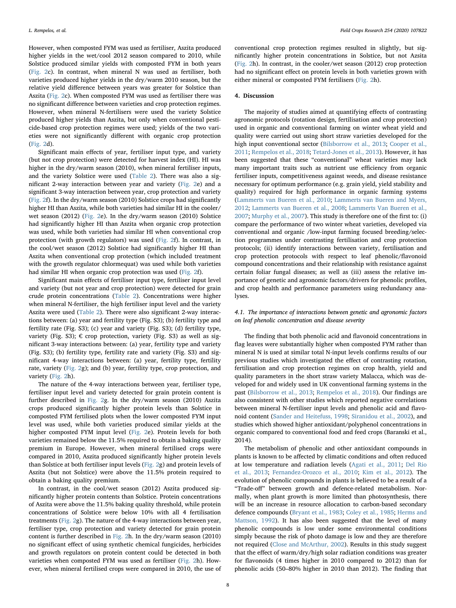However, when composted FYM was used as fertiliser, Aszita produced higher yields in the wet/cool 2012 season compared to 2010, while Solstice produced similar yields with composted FYM in both years ([Fig. 2](#page-5-0)c). In contrast, when mineral N was used as fertiliser, both varieties produced higher yields in the dry/warm 2010 season, but the relative yield difference between years was greater for Solstice than Aszita ([Fig. 2c](#page-5-0)). When composted FYM was used as fertiliser there was no significant difference between varieties and crop protection regimes. However, when mineral N-fertilisers were used the variety Solstice produced higher yields than Aszita, but only when conventional pesticide-based crop protection regimes were used; yields of the two varieties were not significantly different with organic crop protection ([Fig. 2d](#page-5-0)).

Significant main effects of year, fertiliser input type, and variety (but not crop protection) were detected for harvest index (HI). HI was higher in the dry/warm season (2010), when mineral fertiliser inputs, and the variety Solstice were used [\(Table 2](#page-4-0)). There was also a significant 2-way interaction between year and variety ([Fig. 2](#page-5-0)e) and a significant 3-way interaction between year, crop protection and variety ([Fig. 2](#page-5-0)f). In the dry/warm season (2010) Solstice crops had significantly higher HI than Aszita, while both varieties had similar HI in the cooler/ wet season (2012) ([Fig. 2](#page-5-0)e). In the dry/warm season (2010) Solstice had significantly higher HI than Aszita when organic crop protection was used, while both varieties had similar HI when conventional crop protection (with growth regulators) was used ([Fig. 2](#page-5-0)f). In contrast, in the cool/wet season (2012) Solstice had significantly higher HI than Aszita when conventional crop protection (which included treatment with the growth regulator chlormequat) was used while both varieties had similar HI when organic crop protection was used [\(Fig. 2f](#page-5-0)).

Significant main effects of fertiliser input type, fertiliser input level and variety (but not year and crop protection) were detected for grain crude protein concentrations ([Table 2](#page-4-0)). Concentrations were higher when mineral N-fertiliser, the high fertiliser input level and the variety Aszita were used ([Table 2](#page-4-0)). There were also significant 2-way interactions between: (a) year and fertility type (Fig. S3); (b) fertility type and fertility rate (Fig. S3); (c) year and variety (Fig. S3); (d) fertility type, variety (Fig. S3);  $\epsilon$  crop protection, variety (Fig. S3) as well as significant 3-way interactions between: (a) year, fertility type and variety (Fig. S3); (b) fertility type, fertility rate and variety (Fig. S3) and significant 4-way interactions between: (a) year, fertility type, fertility rate, variety [\(Fig. 2g](#page-5-0)); and (b) year, fertility type, crop protection, and variety ([Fig. 2](#page-5-0)h).

The nature of the 4-way interactions between year, fertiliser type, fertiliser input level and variety detected for grain protein content is further described in [Fig. 2](#page-5-0)g. In the dry/warm season (2010) Aszita crops produced significantly higher protein levels than Solstice in composted FYM fertilised plots when the lower composted FYM input level was used, while both varieties produced similar yields at the higher composted FYM input level ([Fig. 2e](#page-5-0)). Protein levels for both varieties remained below the 11.5% required to obtain a baking quality premium in Europe. However, when mineral fertilised crops were compared in 2010, Aszita produced significantly higher protein levels than Solstice at both fertiliser input levels [\(Fig. 2](#page-5-0)g) and protein levels of Aszita (but not Solstice) were above the 11.5% protein required to obtain a baking quality premium.

In contrast, in the cool/wet season (2012) Aszita produced significantly higher protein contents than Solstice. Protein concentrations of Aszita were above the 11.5% baking quality threshold, while protein concentrations of Solstice were below 10% with all 4 fertilisation treatments [\(Fig. 2g](#page-5-0)). The nature of the 4-way interactions between year, fertiliser type, crop protection and variety detected for grain protein content is further described in [Fig. 2h](#page-5-0). In the dry/warm season (2010) no significant effect of using synthetic chemical fungicides, herbicides and growth regulators on protein content could be detected in both varieties when composted FYM was used as fertiliser ([Fig. 2h](#page-5-0)). However, when mineral fertilised crops were compared in 2010, the use of

conventional crop protection regimes resulted in slightly, but significantly higher protein concentrations in Solstice, but not Azsita ([Fig. 2h](#page-5-0)). In contrast, in the cooler/wet season (2012) crop protection had no significant effect on protein levels in both varieties grown with either mineral or composted FYM fertilisers ([Fig. 2](#page-5-0)h).

#### 4. Discussion

The majority of studies aimed at quantifying effects of contrasting agronomic protocols (rotation design, fertilisation and crop protection) used in organic and conventional farming on winter wheat yield and quality were carried out using short straw varieties developed for the high input conventional sector ([Bilsborrow et al., 2013](#page-10-4); [Cooper et al.,](#page-10-12) [2011;](#page-10-12) [Rempelos et al., 2018](#page-11-9); [Tetard-Jones et al., 2013\)](#page-11-12). However, it has been suggested that these "conventional" wheat varieties may lack many important traits such as nutrient use efficiency from organic fertiliser inputs, competitiveness against weeds, and disease resistance necessary for optimum performance (e.g. grain yield, yield stability and quality) required for high performance in organic farming systems ([Lammerts van Bueren et al., 2010;](#page-10-6) [Lammerts van Bueren and Myers,](#page-10-13) [2012;](#page-10-13) [Lammerts van Bueren et al., 2008;](#page-10-17) [Lammerts Van Bueren et al.,](#page-10-18) [2007;](#page-10-18) Murphy [et al., 2007](#page-11-6)). This study is therefore one of the first to: (i) compare the performance of two winter wheat varieties, developed via conventional and organic /low-input farming focused breeding/selection programmes under contrasting fertilisation and crop protection protocols; (ii) identify interactions between variety, fertilisation and crop protection protocols with respect to leaf phenolic/flavonoid compound concentrations and their relationship with resistance against certain foliar fungal diseases; as well as (iii) assess the relative importance of genetic and agronomic factors/drivers for phenolic profiles, and crop health and performance parameters using redundancy analyses.

## 4.1. The importance of interactions between genetic and agronomic factors on leaf phenolic concentration and disease severity

The finding that both phenolic acid and flavonoid concentrations in flag leaves were substantially higher when composted FYM rather than mineral N is used at similar total N-input levels confirms results of our previous studies which investigated the effect of contrasting rotation, fertilisation and crop protection regimes on crop health, yield and quality parameters in the short straw variety Malacca, which was developed for and widely used in UK conventional farming systems in the past ([Bilsborrow et al., 2013;](#page-10-4) [Rempelos et al., 2018](#page-11-9)). Our findings are also consistent with other studies which reported negative correlations between mineral N-fertiliser input levels and phenolic acid and flavonoid content ([Sander and Heitefuss, 1998;](#page-11-7) [Siranidou et al., 2002\)](#page-11-8), and studies which showed higher antioxidant/polyphenol concentrations in organic compared to conventional food and feed crops (Baranski et al., 2014).

The metabolism of phenolic and other antioxidant compounds in plants is known to be affected by climatic conditions and often reduced at low temperature and radiation levels [\(Agati et al., 2011](#page-10-19); [Del Rio](#page-10-8) [et al., 2013;](#page-10-8) [Fernandez-Orozco et al., 2010](#page-10-20); [Kim et al., 2012](#page-10-21)). The evolution of phenolic compounds in plants is believed to be a result of a "Trade-off" between growth and defence-related metabolism. Normally, when plant growth is more limited than photosynthesis, there will be an increase in resource allocation to carbon-based secondary defence compounds ([Bryant et al., 1983;](#page-10-22) [Coley et al., 1985;](#page-10-23) [Herms and](#page-10-24) [Mattson, 1992](#page-10-24)). It has also been suggested that the level of many phenolic compounds is low under some environmental conditions simply because the risk of photo damage is low and they are therefore not required [\(Close and McArthur, 2002\)](#page-10-25). Results in this study suggest that the effect of warm/dry/high solar radiation conditions was greater for flavonoids (4 times higher in 2010 compared to 2012) than for phenolic acids (50–80% higher in 2010 than 2012). The finding that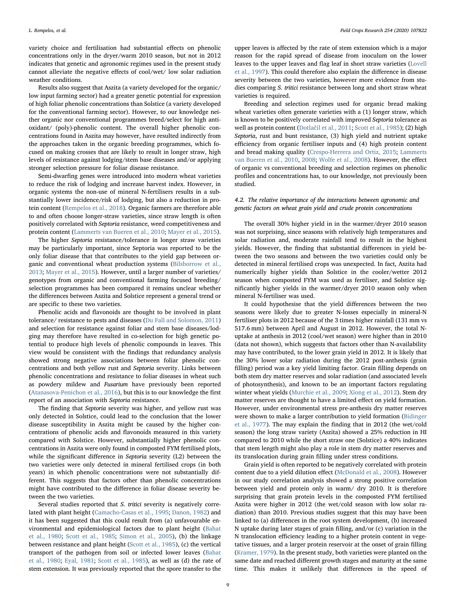variety choice and fertilisation had substantial effects on phenolic concentrations only in the dryer/warm 2010 season, but not in 2012 indicates that genetic and agronomic regimes used in the present study cannot alleviate the negative effects of cool/wet/ low solar radiation weather conditions.

Results also suggest that Aszita (a variety developed for the organic/ low input farming sector) had a greater genetic potential for expression of high foliar phenolic concentrations than Solstice (a variety developed for the conventional farming sector). However, to our knowledge neither organic nor conventional programmes breed/select for high antioxidant/ (poly)-phenolic content. The overall higher phenolic concentrations found in Aszita may however, have resulted indirectly from the approaches taken in the organic breeding programmes, which focused on making crosses that are likely to result in longer straw, high levels of resistance against lodging/stem base diseases and/or applying stronger selection pressure for foliar disease resistance.

Semi-dwarfing genes were introduced into modern wheat varieties to reduce the risk of lodging and increase harvest index. However, in organic systems the non-use of mineral N-fertilisers results in a substantially lower incidence/risk of lodging, but also a reduction in protein content ([Rempelos et al., 2018](#page-11-9)). Organic farmers are therefore able to and often choose longer-straw varieties, since straw length is often positively correlated with Septoria resistance, weed competitiveness and protein content ([Lammerts van Bueren et al., 2010](#page-10-6); [Mayer et al., 2015](#page-10-26)).

The higher Septoria resistance/tolerance in longer straw varieties may be particularly important, since Septoria was reported to be the only foliar disease that that contributes to the yield gap between organic and conventional wheat production systems ([Bilsborrow et al.,](#page-10-4) [2013;](#page-10-4) [Mayer et al., 2015](#page-10-26)). However, until a larger number of varieties/ genotypes from organic and conventional farming focused breeding/ selection programmes has been compared it remains unclear whether the differences between Aszita and Solstice represent a general trend or are specific to these two varieties.

Phenolic acids and flavonoids are thought to be involved in plant tolerance/ resistance to pests and diseases [\(Du Fall and Solomon, 2011\)](#page-10-27) and selection for resistance against foliar and stem base diseases/lodging may therefore have resulted in co-selection for high genetic potential to produce high levels of phenolic compounds in leaves. This view would be consistent with the findings that redundancy analysis showed strong negative associations between foliar phenolic concentrations and both yellow rust and Septoria severity. Links between phenolic concentrations and resistance to foliar diseases in wheat such as powdery mildew and Fusarium have previously been reported ([Atanasova-Penichon et al., 2016](#page-10-28)), but this is to our knowledge the first report of an association with Septoria resistance.

The finding that Septoria severity was higher, and yellow rust was only detected in Solstice, could lead to the conclusion that the lower disease susceptibility in Aszita might be caused by the higher concentrations of phenolic acids and flavonoids measured in this variety compared with Solstice. However, substantially higher phenolic concentrations in Aszita were only found in composted FYM fertilised plots, while the significant difference in Septoria severity (L2) between the two varieties were only detected in mineral fertilised crops (in both years) in which phenolic concentrations were not substantially different. This suggests that factors other than phenolic concentrations might have contributed to the difference in foliar disease severity between the two varieties.

Several studies reported that S. tritici severity is negatively correlated with plant height ([Camacho-Casas et al., 1995](#page-10-29); [Danon, 1982](#page-10-30)) and it has been suggested that this could result from (a) unfavourable environmental and epidemiological factors due to plant height [\(Bahat](#page-10-31) [et al., 1980](#page-10-31); [Scott et al., 1985](#page-11-18); [Simon et al., 2005](#page-11-19)), (b) the linkage between resistance and plant height ([Scott et al., 1985](#page-11-18)), (c) the vertical transport of the pathogen from soil or infected lower leaves [\(Bahat](#page-10-31) [et al., 1980](#page-10-31); [Eyal, 1981;](#page-10-32) [Scott et al., 1985](#page-11-18)), as well as (d) the rate of stem extension. It was previously reported that the spore transfer to the

upper leaves is affected by the rate of stem extension which is a major reason for the rapid spread of disease from inoculum on the lower leaves to the upper leaves and flag leaf in short straw varieties [\(Lovell](#page-10-33) [et al., 1997\)](#page-10-33). This could therefore also explain the difference in disease severity between the two varieties, however more evidence from studies comparing S. tritici resistance between long and short straw wheat varieties is required.

Breeding and selection regimes used for organic bread making wheat varieties often generate varieties with a (1) longer straw, which is known to be positively correlated with improved Septoria tolerance as well as protein content (Dotlač[il et al., 2011;](#page-10-34) [Scott et al., 1985](#page-11-18)); (2) high Septoria, rust and bunt resistance, (3) high yield and nutrient uptake efficiency from organic fertiliser inputs and (4) high protein content and bread making quality (Crespo-[Herrera and Ortiz, 2015;](#page-10-7) [Lammerts](#page-10-6) [van Bueren et al., 2010,](#page-10-6) [2008](#page-10-17); [Wolfe et al., 2008](#page-11-5)). However, the effect of organic vs conventional breeding and selection regimes on phenolic profiles and concentrations has, to our knowledge, not previously been studied.

## 4.2. The relative importance of the interactions between agronomic and genetic factors on wheat grain yield and crude protein concentrations

The overall 30% higher yield in in the warmer/dryer 2010 season was not surprising, since seasons with relatively high temperatures and solar radiation and, moderate rainfall tend to result in the highest yields. However, the finding that substantial differences in yield between the two seasons and between the two varieties could only be detected in mineral fertilised crops was unexpected. In fact, Aszita had numerically higher yields than Solstice in the cooler/wetter 2012 season when composted FYM was used as fertiliser, and Solstice significantly higher yields in the warmer/dryer 2010 season only when mineral N-fertiliser was used.

It could hypothesise that the yield differences between the two seasons were likely due to greater N-losses especially in mineral-N fertiliser plots in 2012 because of the 3 times higher rainfall (131 mm vs 517.6 mm) between April and August in 2012. However, the total Nuptake at anthesis in 2012 (cool/wet season) were higher than in 2010 (data not shown), which suggests that factors other than N-availability may have contributed, to the lower grain yield in 2012. It is likely that the 30% lower solar radiation during the 2012 post-anthesis (grain filling) period was a key yield limiting factor. Grain filling depends on both stem dry matter reserves and solar radiation (and associated levels of photosynthesis), and known to be an important factors regulating winter wheat yields ([Murchie et al., 2009](#page-11-20); [Xiong et al., 2012\)](#page-11-21). Stem dry matter reserves are thought to have a limited effect on yield formation. However, under environmental stress pre-anthesis dry matter reserves were shown to make a larger contribution to yield formation ([Bidinger](#page-10-35) [et al., 1977\)](#page-10-35). The may explain the finding that in 2012 (the wet/cold season) the long straw variety (Aszita) showed a 25% reduction in HI compared to 2010 while the short straw one (Solstice) a 40% indicates that stem length might also play a role in stem dry matter reserves and its translocation during grain filling under stress conditions.

Grain yield is often reported to be negatively correlated with protein content due to a yield dilution effect [\(McDonald et al., 2008\)](#page-10-36). However in our study correlation analysis showed a strong positive correlation between yield and protein only in warm/ dry 2010. It is therefore surprising that grain protein levels in the composted FYM fertilised Aszita were higher in 2012 (the wet/cold season with low solar radiation) than 2010. Previous studies suggest that this may have been linked to (a) differences in the root system development, (b) increased N uptake during later stages of grain filling, and/or (c) variation in the N translocation efficiency leading to a higher protein content in vegetative tissues, and a larger protein reservoir at the onset of grain filling ([Kramer, 1979\)](#page-10-37). In the present study, both varieties were planted on the same date and reached different growth stages and maturity at the same time. This makes it unlikely that differences in the speed of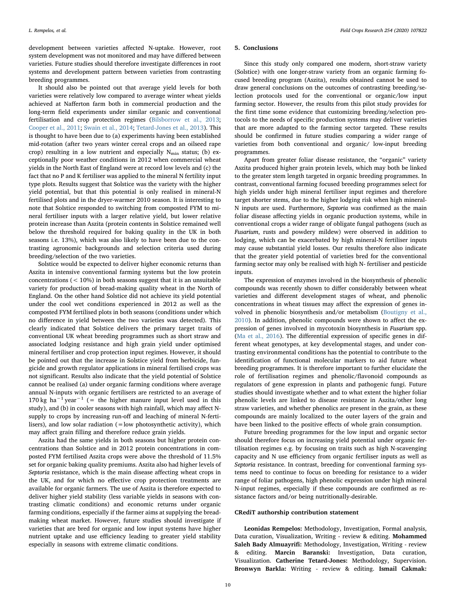development between varieties affected N-uptake. However, root system development was not monitored and may have differed between varieties. Future studies should therefore investigate differences in root systems and development pattern between varieties from contrasting breeding programmes.

It should also be pointed out that average yield levels for both varieties were relatively low compared to average winter wheat yields achieved at Nafferton farm both in commercial production and the long-term field experiments under similar organic and conventional fertilisation and crop protection regimes [\(Bilsborrow et al., 2013](#page-10-4); [Cooper et al., 2011](#page-10-12); [Swain et al., 2014;](#page-11-22) [Tetard-Jones et al., 2013](#page-11-12)). This is thought to have been due to (a) experiments having been established mid-rotation (after two years winter cereal crops and an oilseed rape crop) resulting in a low nutrient and especially  $N_{\text{min}}$  status; (b) exceptionally poor weather conditions in 2012 when commercial wheat yields in the North East of England were at record low levels and (c) the fact that no P and K fertiliser was applied to the mineral N fertility input type plots. Results suggest that Solstice was the variety with the higher yield potential, but that this potential is only realised in mineral-N fertilised plots and in the dryer-warmer 2010 season. It is interesting to note that Solstice responded to switching from composted FYM to mineral fertiliser inputs with a larger relative yield, but lower relative protein increase than Aszita (protein contents in Solstice remained well below the threshold required for baking quality in the UK in both seasons i.e. 13%), which was also likely to have been due to the contrasting agronomic backgrounds and selection criteria used during breeding/selection of the two varieties.

Solstice would be expected to deliver higher economic returns than Aszita in intensive conventional farming systems but the low protein concentrations (< 10%) in both seasons suggest that it is an unsuitable variety for production of bread-making quality wheat in the North of England. On the other hand Solstice did not achieve its yield potential under the cool wet conditions experienced in 2012 as well as the composted FYM fertilised plots in both seasons (conditions under which no difference in yield between the two varieties was detected). This clearly indicated that Solstice delivers the primary target traits of conventional UK wheat breeding programmes such as short straw and associated lodging resistance and high grain yield under optimised mineral fertiliser and crop protection input regimes. However, it should be pointed out that the increase in Solstice yield from herbicide, fungicide and growth regulator applications in mineral fertilised crops was not significant. Results also indicate that the yield potential of Solstice cannot be realised (a) under organic farming conditions where average annual N-inputs with organic fertilisers are restricted to an average of 170 kg ha<sup> $-1$ </sup> year<sup>-1</sup> (= the higher manure input level used in this study), and (b) in cooler seasons with high rainfall, which may affect Nsupply to crops by increasing run-off and leaching of mineral N-fertilisers), and low solar radiation (=low photosynthetic activity), which may affect grain filling and therefore reduce grain yields.

Aszita had the same yields in both seasons but higher protein concentrations than Solstice and in 2012 protein concentrations in composted FYM fertilised Aszita crops were above the threshold of 11.5% set for organic baking quality premiums. Aszita also had higher levels of Septoria resistance, which is the main disease affecting wheat crops in the UK, and for which no effective crop protection treatments are available for organic farmers. The use of Aszita is therefore expected to deliver higher yield stability (less variable yields in seasons with contrasting climatic conditions) and economic returns under organic farming conditions, especially if the farmer aims at supplying the breadmaking wheat market. However, future studies should investigate if varieties that are bred for organic and low input systems have higher nutrient uptake and use efficiency leading to greater yield stability especially in seasons with extreme climatic conditions.

#### 5. Conclusions

Since this study only compared one modern, short-straw variety (Solstice) with one longer-straw variety from an organic farming focused breeding program (Aszita), results obtained cannot be used to draw general conclusions on the outcomes of contrasting breeding/selection protocols used for the conventional or organic/low input farming sector. However, the results from this pilot study provides for the first time some evidence that customizing breeding/selection protocols to the needs of specific production systems may deliver varieties that are more adapted to the farming sector targeted. These results should be confirmed in future studies comparing a wider range of varieties from both conventional and organic/ low-input breeding programmes.

Apart from greater foliar disease resistance, the "organic" variety Aszita produced higher grain protein levels, which may both be linked to the greater stem length targeted in organic breeding programmes. In contrast, conventional farming focused breeding programmes select for high yields under high mineral fertiliser input regimes and therefore target shorter stems, due to the higher lodging risk when high mineral-N inputs are used. Furthermore, Septoria was confirmed as the main foliar disease affecting yields in organic production systems, while in conventional crops a wider range of obligate fungal pathogens (such as Fusarium, rusts and powdery mildew) were observed in addition to lodging, which can be exacerbated by high mineral-N fertiliser inputs may cause substantial yield losses. Our results therefore also indicate that the greater yield potential of varieties bred for the conventional farming sector may only be realised with high N- fertiliser and pesticide inputs.

The expression of enzymes involved in the biosynthesis of phenolic compounds was recently shown to differ considerably between wheat varieties and different development stages of wheat, and phenolic concentrations in wheat tissues may affect the expression of genes involved in phenolic biosynthesis and/or metabolism ([Boutigny et al.,](#page-10-38) [2010\)](#page-10-38). In addition, phenolic compounds were shown to affect the expression of genes involved in mycotoxin biosynthesis in Fusarium spp. ([Ma et al., 2016\)](#page-10-39). The differential expression of specific genes in different wheat genotypes, at key developmental stages, and under contrasting environmental conditions has the potential to contribute to the identification of functional molecular markers to aid future wheat breeding programmes. It is therefore important to further elucidate the role of fertilisation regimes and phenolic/flavonoid compounds as regulators of gene expression in plants and pathogenic fungi. Future studies should investigate whether and to what extent the higher foliar phenolic levels are linked to disease resistance in Aszita/other long straw varieties, and whether phenolics are present in the grain, as these compounds are mainly localized to the outer layers of the grain and have been linked to the positive effects of whole grain consumption.

Future breeding programmes for the low input and organic sector should therefore focus on increasing yield potential under organic fertilisation regimes e.g. by focusing on traits such as high N-scavenging capacity and N use efficiency from organic fertiliser inputs as well as Septoria resistance. In contrast, breeding for conventional farming systems need to continue to focus on breeding for resistance to a wider range of foliar pathogens, high phenolic expression under high mineral N-input regimes, especially if these compounds are confirmed as resistance factors and/or being nutritionally-desirable.

## CRediT authorship contribution statement

Leonidas Rempelos: Methodology, Investigation, Formal analysis, Data curation, Visualization, Writing - review & editing. Mohammed Saleh Bady Almuayrifi: Methodology, Investigation, Writing - review & editing. Marcin Baranski: Investigation, Data curation, Visualization. Catherine Tetard-Jones: Methodology, Supervision. Bronwyn Barkla: Writing - review & editing. Ismail Cakmak: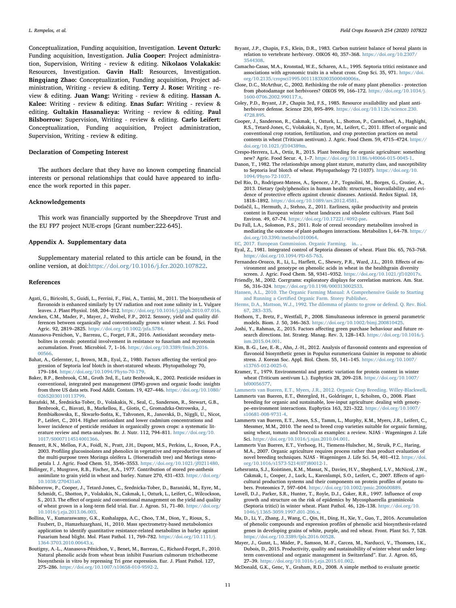Conceptualization, Funding acquisition, Investigation. Levent Ozturk: Funding acquisition, Investigation. Julia Cooper: Project administration, Supervision, Writing - review & editing. Nikolaos Volakakis: Resources, Investigation. Gavin Hall: Resources, Investigation. Bingqiang Zhao: Conceptualization, Funding acquisition, Project administration, Writing - review & editing. Terry J. Rose: Writing - review & editing. Juan Wang: Writing - review & editing. Hassan A. Kalee: Writing - review & editing. Enas Sufar: Writing - review & editing. Gultakin Hasanalieya: Writing - review & editing. Paul Bilsborrow: Supervision, Writing - review & editing. Carlo Leifert: Conceptualization, Funding acquisition, Project administration, Supervision, Writing - review & editing.

## Declaration of Competing Interest

The authors declare that they have no known competing financial interests or personal relationships that could have appeared to influence the work reported in this paper.

## Acknowledgements

This work was financially supported by the Sheepdrove Trust and the EU FP7 project NUE-crops [Grant number:222-645].

## Appendix A. Supplementary data

Supplementary material related to this article can be found, in the online version, at doi:[https://doi.org/10.1016/j.fcr.2020.107822.](https://doi.org/10.1016/j.fcr.2020.107822)

## References

- <span id="page-10-19"></span>Agati, G., Biricolti, S., Guidi, L., Ferrini, F., Fini, A., Tattini, M., 2011. The biosynthesis of flavonoids is enhanced similarly by UV radiation and root zone salinity in L. Vulgare leaves. J. Plant Physiol. 168, 204–212. [https://doi.org/10.1016/j.jplph.2010.07.016.](https://doi.org/10.1016/j.jplph.2010.07.016)
- <span id="page-10-10"></span>Arncken, C.M., Mader, P., Mayer, J., Weibel, F.P., 2012. Sensory, yield and quality differences between organically and conventionally grown winter wheat. J. Sci. Food Agric. 92, 2819–2825. <https://doi.org/10.1002/jsfa.5784>.
- <span id="page-10-28"></span>Atanasova-Penichon, V., Barreau, C., Forget, F.R., 2016. Antioxidant secondary metabolites in cereals: potential involvement in resistance to fusarium and mycotoxin accumulation. Front. Microbiol. 7, 1–16. [https://doi.org/10.3389/fmicb.2016.](https://doi.org/10.3389/fmicb.2016.00566) [00566.](https://doi.org/10.3389/fmicb.2016.00566)
- <span id="page-10-31"></span>Bahat, A., Gelernter, I., Brown, M.B., Eyal, Z., 1980. Factors affecting the vertical progression of Septoria leaf blotch in short-statured wheats. Phytopathology 70, 179–184. <https://doi.org/10.1094/Phyto-70-179>.
- <span id="page-10-2"></span>Baker, B.P., Benbrook, C.M., Groth 3rd, E., Lutz Benbrook, K., 2002. Pesticide residues in conventional, integrated pest management (IPM)-grown and organic foods: insights from three US data sets. Food Addit. Contam. 19, 427–446. [https://doi.org/10.1080/](https://doi.org/10.1080/02652030110113799) [02652030110113799.](https://doi.org/10.1080/02652030110113799)
- <span id="page-10-11"></span>Barański, M., Średnicka-Tober, D., Volakakis, N., Seal, C., Sanderson, R., Stewart, G.B., Benbrook, C., Biavati, B., Markellou, E., Giotis, C., Gromadzka-Ostrowska, J., Rembiałkowska, E., Skwarło-Sońta, K., Tahvonen, R., Janovská, D., Niggli, U., Nicot, P., Leifert, C., 2014. Higher antioxidant and lower cadmium concentrations and lower incidence of pesticide residues in organically grown crops: a systematic literature review and meta-analyses. Br. J. Nutr. 112, 794–811. [https://doi.org/10.](https://doi.org/10.1017/S0007114514001366) [1017/S0007114514001366.](https://doi.org/10.1017/S0007114514001366)
- <span id="page-10-14"></span>Bennett, R.N., Mellon, F.A., Foidl, N., Pratt, J.H., Dupont, M.S., Perkins, L., Kroon, P.A., 2003. Profiling glucosinolates and phenolics in vegetative and reproductive tissues of the multi-purpose trees Moringa oleifera L. (Horseradish tree) and Moringa stenopetala l. J. Agric. Food Chem. 51, 3546–3553. [https://doi.org/10.1021/jf0211480.](https://doi.org/10.1021/jf0211480)
- <span id="page-10-35"></span>Bidinger, F., Musgrave, R.B., Fischer, R.A., 1977. Contribution of stored pre-anthesis assimilate to grain yield in wheat and barley. Nature 270, 431–433. [https://doi.org/](https://doi.org/10.1038/270431a0) [10.1038/270431a0](https://doi.org/10.1038/270431a0).
- <span id="page-10-4"></span>Bilsborrow, P., Cooper, J., Tetard-Jones, C., Srednicka-Tober, D., Baraniski, M., Eyre, M., Schmidt, C., Shotton, P., Volakakis, N., Cakmak, I., Ozturk, L., Leifert, C., Wilcockson, S., 2013. The effect of organic and conventional management on the yield and quality of wheat grown in a long-term field trial. Eur. J. Agron. 51, 71–80. [https://doi.org/](https://doi.org/10.1016/j.eja.2013.06.003) [10.1016/j.eja.2013.06.003.](https://doi.org/10.1016/j.eja.2013.06.003)
- <span id="page-10-9"></span>Bollina, V., Kumaraswamy, G.K., Kushalappa, A.C., Choo, T.M., Dion, Y., Rioux, S., Faubert, D., Hamzehzarghani, H., 2010. Mass spectrometry-based metabolomics application to identify quantitative resistance-related metabolites in barley against Fusarium head blight. Mol. Plant Pathol. 11, 769–782. [https://doi.org/10.1111/j.](https://doi.org/10.1111/j.1364-3703.2010.00643.x) [1364-3703.2010.00643.x](https://doi.org/10.1111/j.1364-3703.2010.00643.x).
- <span id="page-10-38"></span>Boutigny, A.-L., Atanasova-Pénichon, V., Benet, M., Barreau, C., Richard-Forget, F., 2010. Natural phenolic acids from wheat bran inhibit Fusarium culmorum trichothecene biosynthesis in vitro by repressing Tri gene expression. Eur. J. Plant Pathol. 127, 275–286. <https://doi.org/10.1007/s10658-010-9592-2>.
- <span id="page-10-22"></span>Bryant, J.P., Chapin, F.S., Klein, D.R., 1983. Carbon nutrient balance of boreal plants in relation to vertebrate herbivory. OIKOS 40, 357–368. [https://doi.org/10.2307/](https://doi.org/10.2307/3544308) [3544308.](https://doi.org/10.2307/3544308)
- <span id="page-10-29"></span>Camacho-Casas, M.A., Kronstad, W.E., Scharen, A.L., 1995. Septoria tritici resistance and associations with agronomic traits in a wheat cross. Crop Sci. 35, 971. [https://doi.](https://doi.org/10.2135/cropsci1995.0011183X003500040006x) [org/10.2135/cropsci1995.0011183X003500040006x](https://doi.org/10.2135/cropsci1995.0011183X003500040006x).
- <span id="page-10-25"></span>Close, D.C., McArthur, C., 2002. Rethinking the role of many plant phenolics - protection from photodamage not herbivores? OIKOS 99, 166–172. [https://doi.org/10.1034/j.](https://doi.org/10.1034/j.1600-0706.2002.990117.x) [1600-0706.2002.990117.x.](https://doi.org/10.1034/j.1600-0706.2002.990117.x)
- <span id="page-10-23"></span>Coley, P.D., Bryant, J.P., Chapin 3rd, F.S., 1985. Resource availability and plant antiherbivore defense. Science 230, 895–899. [https://doi.org/10.1126/science.230.](https://doi.org/10.1126/science.230.4728.895) [4728.895](https://doi.org/10.1126/science.230.4728.895).
- <span id="page-10-12"></span>Cooper, J., Sanderson, R., Cakmak, I., Ozturk, L., Shotton, P., Carmichael, A., Haghighi, R.S., Tetard-Jones, C., Volakakis, N., Eyre, M., Leifert, C., 2011. Effect of organic and conventional crop rotation, fertilization, and crop protection practices on metal contents in wheat (Triticum aestivum). J. Agric. Food Chem. 59, 4715–4724. [https://](https://doi.org/10.1021/jf104389m) [doi.org/10.1021/jf104389m](https://doi.org/10.1021/jf104389m).
- <span id="page-10-7"></span>Crespo‑Herrera, L.A., Ortiz, R., 2015. Plant breeding for organic agriculture: something new? Agric. Food Secur. 4, 1–7. [https://doi.org/10.1186/s40066-015-0045-1.](https://doi.org/10.1186/s40066-015-0045-1)
- <span id="page-10-30"></span>Danon, T., 1982. The relationships among plant stature, maturity class, and susceptibility to Septoria leaf blotch of wheat. Phytopathology 72 (1037). [https://doi.org/10.](https://doi.org/10.1094/Phyto-72-1037) [1094/Phyto-72-1037](https://doi.org/10.1094/Phyto-72-1037).
- <span id="page-10-8"></span>Del Rio, D., Rodriguez-Mateos, A., Spencer, J.P., Tognolini, M., Borges, G., Crozier, A., 2013. Dietary (poly)phenolics in human health: structures, bioavailability, and evidence of protective effects against chronic diseases. Antioxid. Redox Signal. 18, 1818–1892. [https://doi.org/10.1089/ars.2012.4581.](https://doi.org/10.1089/ars.2012.4581)
- <span id="page-10-34"></span>Dotlačil, L., Hermuth, J., Stehno, Z., 2011. Earliness, spike productivity and protein content in European winter wheat landraces and obsolete cultivars. Plant Soil Environ. 49, 67–74. <https://doi.org/10.17221/4092-pse>.
- <span id="page-10-27"></span>Du Fall, L.A., Solomon, P.S., 2011. Role of cereal secondary metabolites involved in mediating the outcome of plant-pathogen interactions. Metabolites 1, 64–78. [https://](https://doi.org/10.3390/metabo1010064) [doi.org/10.3390/metabo1010064](https://doi.org/10.3390/metabo1010064).
- <span id="page-10-1"></span>[EC, 2017. European Commission. Organic Farming. in..](http://refhub.elsevier.com/S0378-4290(19)31599-0/sbref0110) .
- <span id="page-10-32"></span>Eyal, Z., 1981. Integrated control of Septoria diseases of wheat. Plant Dis. 65, 763–768. <https://doi.org/10.1094/PD-65-763>.
- <span id="page-10-20"></span>Fernandez-Orozco, R., Li, L., Harflett, C., Shewry, P.R., Ward, J.L., 2010. Effects of environment and genotype on phenolic acids in wheat in the healthgrain diversity screen. J. Agric. Food Chem. 58, 9341–9352. <https://doi.org/10.1021/jf102017s>.
- <span id="page-10-16"></span>Friendly, M., 2002. Corrgrams: exploratory displays for correlation matrices. Am. Stat. 56, 316–324. <https://doi.org/10.1198/000313002533>.
- <span id="page-10-3"></span>Hansen, [A.L., 2010. The Organic Farming Manual: A Comprehensive Guide to Starting](http://refhub.elsevier.com/S0378-4290(19)31599-0/sbref0130) and Running a Certifi[ed Organic Farm. Storey Publisher.](http://refhub.elsevier.com/S0378-4290(19)31599-0/sbref0130)
- <span id="page-10-24"></span>[Herms, D.A., Mattson, W.J., 1992. The dilemma of plants: to grow or defend. Q. Rev. Biol.](http://refhub.elsevier.com/S0378-4290(19)31599-0/sbref0135) [67, 283](http://refhub.elsevier.com/S0378-4290(19)31599-0/sbref0135)–335.
- <span id="page-10-15"></span>Hothorn, T., Bretz, F., Westfall, P., 2008. Simultaneous inference in general parametric models. Biom. J. 50, 346–363. <https://doi.org/10.1002/bimj.200810425>.
- <span id="page-10-0"></span>Joshi, Y., Rahman, Z., 2015. Factors affecting green purchase behaviour and future research directions. Int. Strateg. Manag. Rev. 3, 128–143. [https://doi.org/10.1016/j.](https://doi.org/10.1016/j.ism.2015.04.001) [ism.2015.04.001](https://doi.org/10.1016/j.ism.2015.04.001).
- <span id="page-10-21"></span>Kim, B.-G., Lee, E.-R., Ahn, J.-H., 2012. Analysis of flavonoid contents and expression of flavonoid biosynthetic genes in Populus euramericana Guinier in response to abiotic stress. J. Korean Soc. Appl. Biol. Chem. 55, 141–145. [https://doi.org/10.1007/](https://doi.org/10.1007/s13765-012-0025-0) [s13765-012-0025-0.](https://doi.org/10.1007/s13765-012-0025-0)
- <span id="page-10-37"></span>Kramer, T., 1979. Environmental and genetic variation for protein content in winter wheat (Triticum aestivum L.). Euphytica 28, 209–218. [https://doi.org/10.1007/](https://doi.org/10.1007/bf00056577) [bf00056577.](https://doi.org/10.1007/bf00056577)

<span id="page-10-13"></span>[Lammerts van Bueren, E.T., Myers, J.R., 2012. Organic Crop Breeding. Willey-Blackwell.](http://refhub.elsevier.com/S0378-4290(19)31599-0/sbref0160)

- <span id="page-10-17"></span>Lammerts van Bueren, E.T., Østergård, H., Goldringer, I., Scholten, O., 2008. Plant breeding for organic and sustainable, low-input agriculture: dealing with genotype–environment interactions. Euphytica 163, 321–322. [https://doi.org/10.1007/](https://doi.org/10.1007/s10681-008-9731-4) [s10681-008-9731-4.](https://doi.org/10.1007/s10681-008-9731-4)
- <span id="page-10-6"></span>Lammerts van Bueren, E.T., Jones, S.S., Tamm, L., Murphy, K.M., Myers, J.R., Leifert, C., Messmer, M.M., 2010. The need to breed crop varieties suitable for organic farming, using wheat, tomato and broccoli as examples: a review. NJAS - Wageningen J. Life Sci. <https://doi.org/10.1016/j.njas.2010.04.001>.
- <span id="page-10-18"></span>Lammerts Van Bueren, E.T., Verhoog, H., Tiemens-Hulscher, M., Struik, P.C., Haring, M.A., 2007. Organic agriculture requires process rather than product evaluation of novel breeding techniques. NJAS - Wageningen J. Life Sci. 54, 401–412. [https://doi.](https://doi.org/10.1016/s1573-5214(07)80012-1) [org/10.1016/s1573-5214\(07\)80012-1](https://doi.org/10.1016/s1573-5214(07)80012-1).
- <span id="page-10-5"></span>Lehesranta, S.J., Koistinen, K.M., Massat, N., Davies, H.V., Shepherd, L.V., McNicol, J.W., Cakmak, I., Cooper, J., Luck, L., Karenlampi, S.O., Leifert, C., 2007. Effects of agricultural production systems and their components on protein profiles of potato tubers. Proteomics 7, 597–604. <https://doi.org/10.1002/pmic.200600889>.
- <span id="page-10-33"></span>Lovell, D.J., Parker, S.R., Hunter, T., Royle, D.J., Coker, R.R., 1997. Influence of crop growth and structure on the risk of epidemics by Mycosphaerella graminicola (Septoria tritici) in winter wheat. Plant Pathol. 46, 126–138. [https://doi.org/10.](https://doi.org/10.1046/j.1365-3059.1997.d01-206.x) [1046/j.1365-3059.1997.d01-206.x.](https://doi.org/10.1046/j.1365-3059.1997.d01-206.x)
- <span id="page-10-39"></span>Ma, D., Li, Y., Zhang, J., Wang, C., Qin, H., Ding, H., Xie, Y., Guo, T., 2016. Accumulation of phenolic compounds and expression profiles of phenolic acid biosynthesis-related genes in developing grains of white, purple, and red wheat. Front. Plant Sci. 7, 528. <https://doi.org/10.3389/fpls.2016.00528>.
- <span id="page-10-26"></span>Mayer, J., Gunst, L., Mäder, P., Samson, M.-F., Carcea, M., Narducci, V., Thomsen, I.K., Dubois, D., 2015. Productivity, quality and sustainability of winter wheat under longterm conventional and organic management in Switzerland". Eur. J. Agron. 65, 27–39. <https://doi.org/10.1016/j.eja.2015.01.002>.
- <span id="page-10-36"></span>McDonald, G.K., Genc, Y., Graham, R.D., 2008. A simple method to evaluate genetic